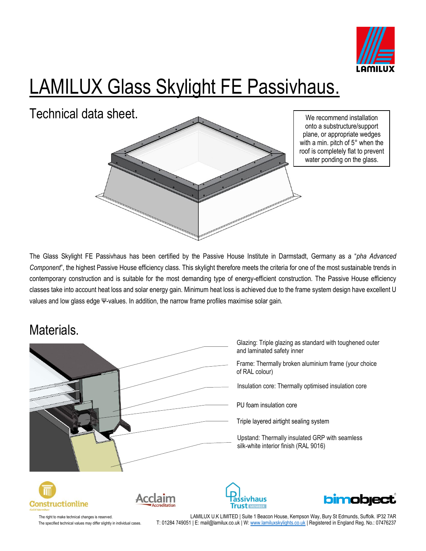

# LAMILUX Glass Skylight FE Passivhaus.

Technical data sheet.



We recommend installation onto a substructure/support plane, or appropriate wedges with a min. pitch of 5° when the roof is completely flat to prevent water ponding on the glass.

The Glass Skylight FE Passivhaus has been certified by the Passive House Institute in Darmstadt, Germany as a "*pha Advanced Component*", the highest Passive House efficiency class. This skylight therefore meets the criteria for one of the most sustainable trends in contemporary construction and is suitable for the most demanding type of energy-efficient construction. The Passive House efficiency classes take into account heat loss and solar energy gain. Minimum heat loss is achieved due to the frame system design have excellent U values and low glass edge Ψ-values. In addition, the narrow frame profiles maximise solar gain.

#### Materials.

Glazing: Triple glazing as standard with toughened outer and laminated safety inner Frame: Thermally broken aluminium frame (your choice of RAL colour) Insulation core: Thermally optimised insulation core PU foam insulation core Triple layered airtight sealing systemUpstand: Thermally insulated GRP with seamless silk-white interior finish (RAL 9016) **bimobject** cclaim assivhaus **Trust MEMBER** 

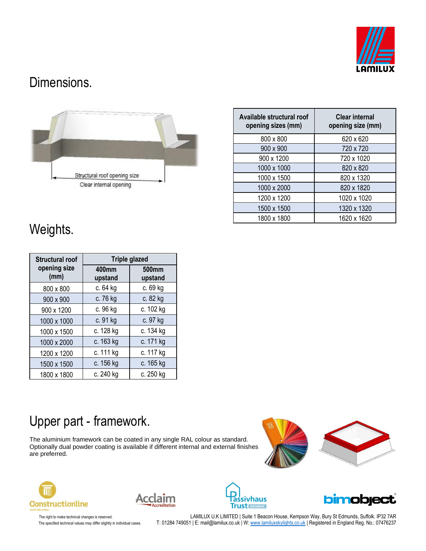

#### Dimensions.



| Available structural roof<br>opening sizes (mm) | <b>Clear internal</b><br>opening size (mm) |  |  |  |
|-------------------------------------------------|--------------------------------------------|--|--|--|
| 800 x 800                                       | 620 x 620                                  |  |  |  |
| 900 x 900                                       | 720 x 720                                  |  |  |  |
| 900 x 1200                                      | 720 x 1020                                 |  |  |  |
| 1000 x 1000                                     | 820 x 820                                  |  |  |  |
| 1000 x 1500                                     | 820 x 1320                                 |  |  |  |
| 1000 x 2000                                     | 820 x 1820                                 |  |  |  |
| 1200 x 1200                                     | 1020 x 1020                                |  |  |  |
| 1500 x 1500                                     | 1320 x 1320                                |  |  |  |
| 1800 x 1800                                     | 1620 x 1620                                |  |  |  |

## Weights.

| <b>Structural roof</b> | <b>Triple glazed</b> |                  |  |  |
|------------------------|----------------------|------------------|--|--|
| opening size<br>(mm)   | 400mm<br>upstand     | 500mm<br>upstand |  |  |
| 800 x 800              | c. 64 kg             | c. 69 kg         |  |  |
| 900 x 900              | c. 76 kg             | c. 82 kg         |  |  |
| 900 x 1200             | c. 96 kg             | c. 102 kg        |  |  |
| 1000 x 1000            | c. 91 kg             | c. 97 kg         |  |  |
| 1000 x 1500            | c. 128 kg            | c. 134 kg        |  |  |
| 1000 x 2000            | c. 163 kg            | c. 171 kg        |  |  |
| 1200 x 1200            | c. 111 kg            | c. 117 kg        |  |  |
| 1500 x 1500            | c. 156 kg            | c. 165 kg        |  |  |
| 1800 x 1800            | c. 240 kg            | c. 250 kg        |  |  |

## Upper part - framework.

The aluminium framework can be coated in any single RAL colour as standard. Optionally dual powder coating is available if different internal and external finishes are preferred.











The right to make technical changes is reserved. LAMILUX U.K LIMITED | Suite 1 Beacon House, Kempson Way, Bury St Edmunds, Suffolk. IP32 7AR The specified technical values may differ slightly in individual cases. T: 01284 749051 | E: mail@lamilux.co.uk | W: <u>www.lamiluxskylights.co.uk</u> | Registered in England Reg. No.: 07476237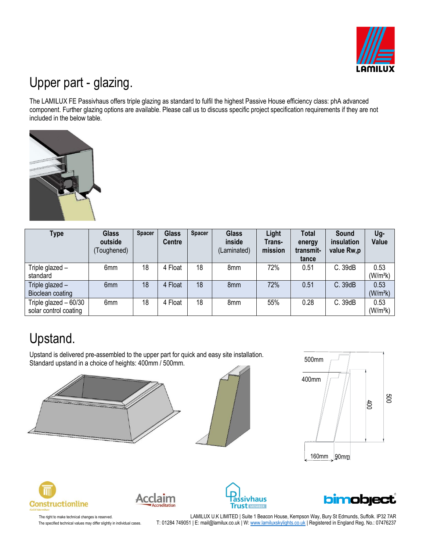

## Upper part - glazing.

The LAMILUX FE Passivhaus offers triple glazing as standard to fulfil the highest Passive House efficiency class: phA advanced component. Further glazing options are available. Please call us to discuss specific project specification requirements if they are not included in the below table.



| Type                                            | <b>Glass</b><br>outside<br>(Toughened) | <b>Spacer</b> | <b>Glass</b><br><b>Centre</b> | <b>Spacer</b> | <b>Glass</b><br>inside<br>(Laminated) | Light<br>Trans-<br>mission | <b>Total</b><br>energy<br>transmit-<br>tance | Sound<br>insulation<br>value Rw,p | Ug-<br>Value                 |
|-------------------------------------------------|----------------------------------------|---------------|-------------------------------|---------------|---------------------------------------|----------------------------|----------------------------------------------|-----------------------------------|------------------------------|
| Triple glazed -<br>standard                     | 6 <sub>mm</sub>                        | 18            | 4 Float                       | 18            | 8mm                                   | 72%                        | 0.51                                         | C. 39dB                           | 0.53<br>(W/m <sup>2</sup> k) |
| Triple glazed -<br>Bioclean coating             | 6mm                                    | 18            | 4 Float                       | 18            | 8 <sub>mm</sub>                       | 72%                        | 0.51                                         | C. 39dB                           | 0.53<br>(W/m <sup>2</sup> k) |
| Triple glazed $-60/30$<br>solar control coating | 6mm                                    | 18            | 4 Float                       | 18            | 8mm                                   | 55%                        | 0.28                                         | C. 39dB                           | 0.53<br>(W/m <sup>2</sup> k) |

## Upstand.

Upstand is delivered pre-assembled to the upper part for quick and easy site installation. Standard upstand in a choice of heights: 400mm / 500mm.











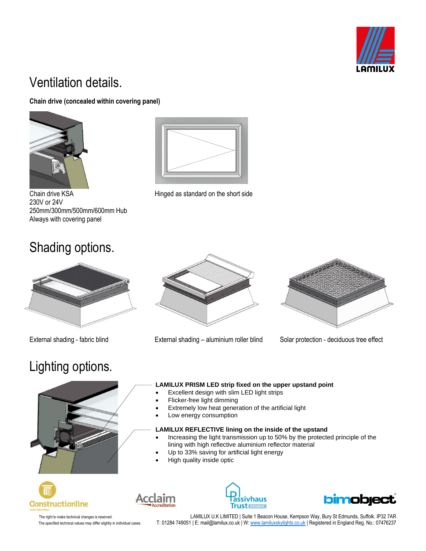

## Ventilation details.

#### **Chain drive (concealed within covering panel)**



Chain drive KSA **Hinged** as standard on the short side 230V or 24V 250mm/300mm/500mm/600mm Hub Always with covering panel

#### Shading options.



## Lighting options.



External shading - fabric blind External shading – aluminium roller blind Solar protection - deciduous tree effect





Acclaim

#### Extremely low heat generation of the artificial light

Low energy consumption

#### **LAMILUX REFLECTIVE lining on the inside of the upstand**

- Increasing the light transmission up to 50% by the protected principle of the lining with high reflective aluminium reflector material
- Up to 33% saving for artificial light energy
- High quality inside optic



assivhaus **Trust MEMBER**